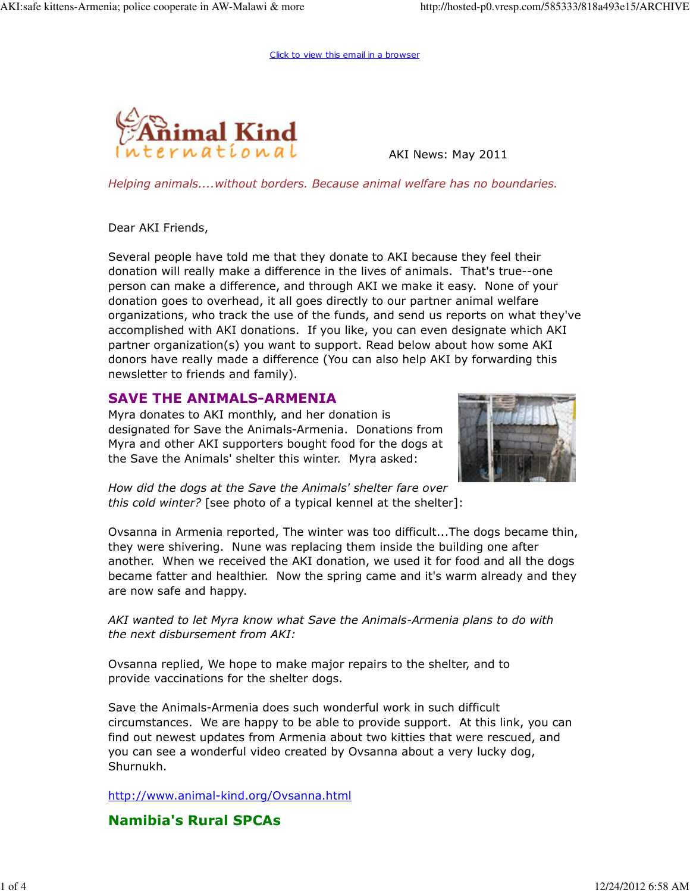Click to view this email in a browser



AKI News: May 2011

Helping animals....without borders. Because animal welfare has no boundaries.

Dear AKI Friends,

Several people have told me that they donate to AKI because they feel their donation will really make a difference in the lives of animals. That's true--one person can make a difference, and through AKI we make it easy. None of your donation goes to overhead, it all goes directly to our partner animal welfare organizations, who track the use of the funds, and send us reports on what they've accomplished with AKI donations. If you like, you can even designate which AKI partner organization(s) you want to support. Read below about how some AKI donors have really made a difference (You can also help AKI by forwarding this newsletter to friends and family).

### SAVE THE ANIMALS-ARMENIA

Myra donates to AKI monthly, and her donation is designated for Save the Animals-Armenia. Donations from Myra and other AKI supporters bought food for the dogs at the Save the Animals' shelter this winter. Myra asked:



How did the dogs at the Save the Animals' shelter fare over this cold winter? [see photo of a typical kennel at the shelter]:

Ovsanna in Armenia reported, The winter was too difficult...The dogs became thin, they were shivering. Nune was replacing them inside the building one after another. When we received the AKI donation, we used it for food and all the dogs became fatter and healthier. Now the spring came and it's warm already and they are now safe and happy.

AKI wanted to let Myra know what Save the Animals-Armenia plans to do with the next disbursement from AKI:

Ovsanna replied, We hope to make major repairs to the shelter, and to provide vaccinations for the shelter dogs.

Save the Animals-Armenia does such wonderful work in such difficult circumstances. We are happy to be able to provide support. At this link, you can find out newest updates from Armenia about two kitties that were rescued, and you can see a wonderful video created by Ovsanna about a very lucky dog, Shurnukh.

http://www.animal-kind.org/Ovsanna.html

## Namibia's Rural SPCAs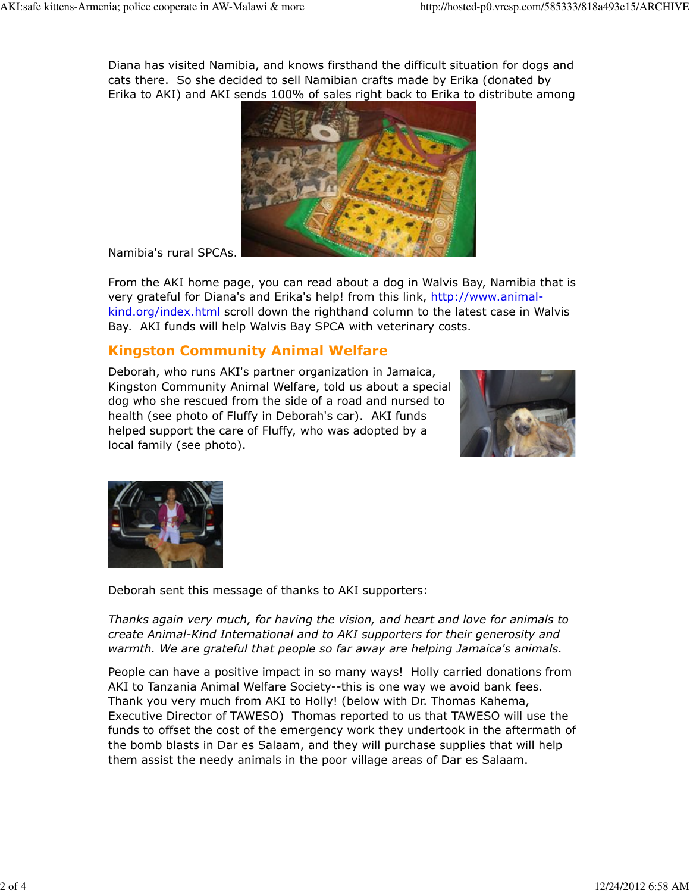Diana has visited Namibia, and knows firsthand the difficult situation for dogs and cats there. So she decided to sell Namibian crafts made by Erika (donated by Erika to AKI) and AKI sends 100% of sales right back to Erika to distribute among



Namibia's rural SPCAs.

From the AKI home page, you can read about a dog in Walvis Bay, Namibia that is very grateful for Diana's and Erika's help! from this link, http://www.animalkind.org/index.html scroll down the righthand column to the latest case in Walvis Bay. AKI funds will help Walvis Bay SPCA with veterinary costs.

# Kingston Community Animal Welfare

Deborah, who runs AKI's partner organization in Jamaica, Kingston Community Animal Welfare, told us about a special dog who she rescued from the side of a road and nursed to health (see photo of Fluffy in Deborah's car). AKI funds helped support the care of Fluffy, who was adopted by a local family (see photo).





Deborah sent this message of thanks to AKI supporters:

Thanks again very much, for having the vision, and heart and love for animals to create Animal-Kind International and to AKI supporters for their generosity and warmth. We are grateful that people so far away are helping Jamaica's animals.

People can have a positive impact in so many ways! Holly carried donations from AKI to Tanzania Animal Welfare Society--this is one way we avoid bank fees. Thank you very much from AKI to Holly! (below with Dr. Thomas Kahema, Executive Director of TAWESO) Thomas reported to us that TAWESO will use the funds to offset the cost of the emergency work they undertook in the aftermath of the bomb blasts in Dar es Salaam, and they will purchase supplies that will help them assist the needy animals in the poor village areas of Dar es Salaam.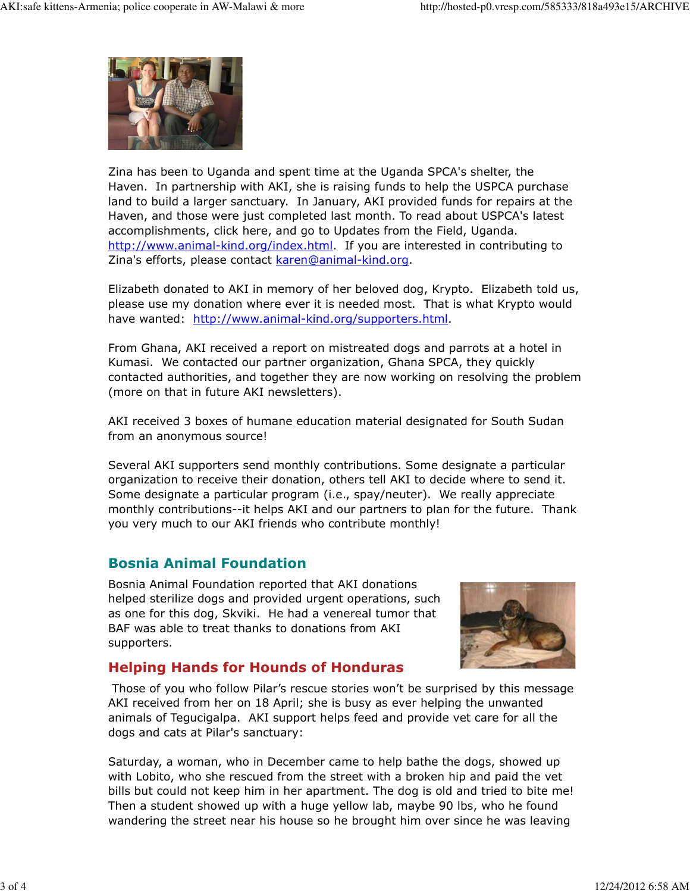

Zina has been to Uganda and spent time at the Uganda SPCA's shelter, the Haven. In partnership with AKI, she is raising funds to help the USPCA purchase land to build a larger sanctuary. In January, AKI provided funds for repairs at the Haven, and those were just completed last month. To read about USPCA's latest accomplishments, click here, and go to Updates from the Field, Uganda. http://www.animal-kind.org/index.html. If you are interested in contributing to Zina's efforts, please contact karen@animal-kind.org.

Elizabeth donated to AKI in memory of her beloved dog, Krypto. Elizabeth told us, please use my donation where ever it is needed most. That is what Krypto would have wanted: http://www.animal-kind.org/supporters.html.

From Ghana, AKI received a report on mistreated dogs and parrots at a hotel in Kumasi. We contacted our partner organization, Ghana SPCA, they quickly contacted authorities, and together they are now working on resolving the problem (more on that in future AKI newsletters).

AKI received 3 boxes of humane education material designated for South Sudan from an anonymous source!

Several AKI supporters send monthly contributions. Some designate a particular organization to receive their donation, others tell AKI to decide where to send it. Some designate a particular program (i.e., spay/neuter). We really appreciate monthly contributions--it helps AKI and our partners to plan for the future. Thank you very much to our AKI friends who contribute monthly!

## Bosnia Animal Foundation

Bosnia Animal Foundation reported that AKI donations helped sterilize dogs and provided urgent operations, such as one for this dog, Skviki. He had a venereal tumor that BAF was able to treat thanks to donations from AKI supporters.



## Helping Hands for Hounds of Honduras

 Those of you who follow Pilar's rescue stories won't be surprised by this message AKI received from her on 18 April; she is busy as ever helping the unwanted animals of Tegucigalpa. AKI support helps feed and provide vet care for all the dogs and cats at Pilar's sanctuary:

Saturday, a woman, who in December came to help bathe the dogs, showed up with Lobito, who she rescued from the street with a broken hip and paid the vet bills but could not keep him in her apartment. The dog is old and tried to bite me! Then a student showed up with a huge yellow lab, maybe 90 lbs, who he found wandering the street near his house so he brought him over since he was leaving